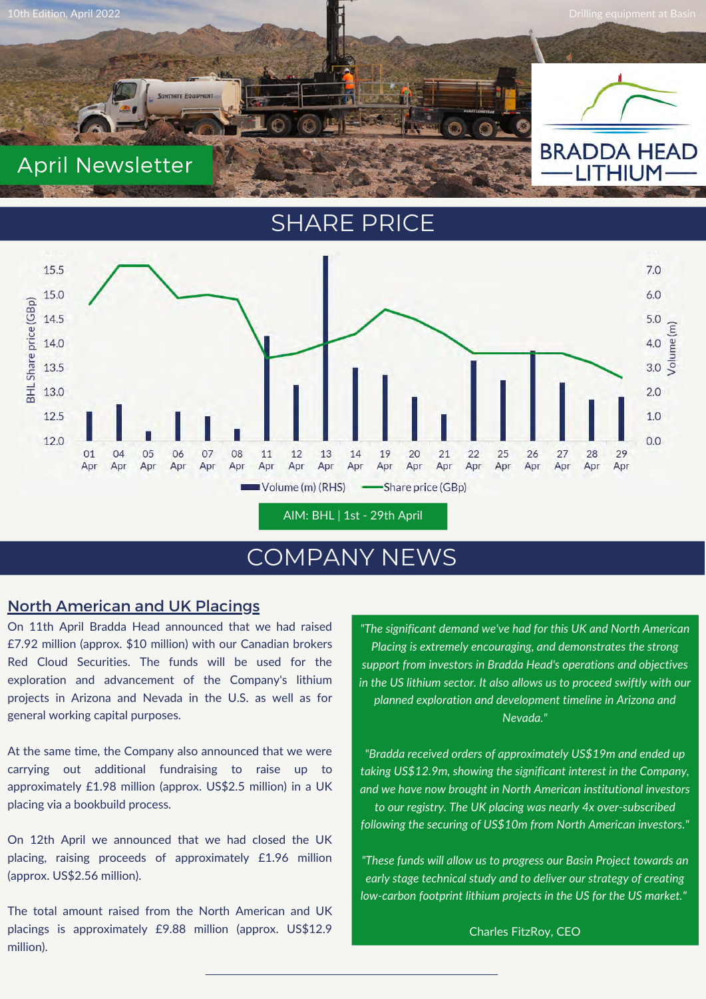

# SHARE PRICE



# COMPANY NEWS

### North American and UK Placings

On 11th April Bradda Head announced that we had raised £7.92 million (approx. \$10 million) with our Canadian brokers Red Cloud Securities. The funds will be used for the exploration and advancement of the Company's lithium projects in Arizona and Nevada in the U.S. as well as for general working capital purposes.

At the same time, the Company also announced that we were carrying out additional fundraising to raise up to approximately £1.98 million (approx. US\$2.5 million) in a UK placing via a bookbuild process.

On 12th April we announced that we had closed the UK placing, raising proceeds of approximately £1.96 million (approx. US\$2.56 million).

The total amount raised from the North American and UK placings is approximately £9.88 million (approx. US\$12.9 million).

*"The significant demand we've had for this UK and North American Placing is extremely encouraging, and demonstrates the strong support from investors in Bradda Head's operations and objectives in the US lithium sector. It also allows us to proceed swiftly with our planned exploration and development timeline in Arizona and Nevada."*

*"Bradda received orders of approximately US\$19m and ended up taking US\$12.9m, showing the significant interest in the Company, and we have now brought in North American institutional investors to our registry. The UK placing was nearly 4x over-subscribed following the securing of US\$10m from North American investors."*

*"These funds will allow us to progress our Basin Project towards an early stage technical study and to deliver our strategy of creating low-carbon footprint lithium projects in the US for the US market."*

Charles FitzRoy, CEO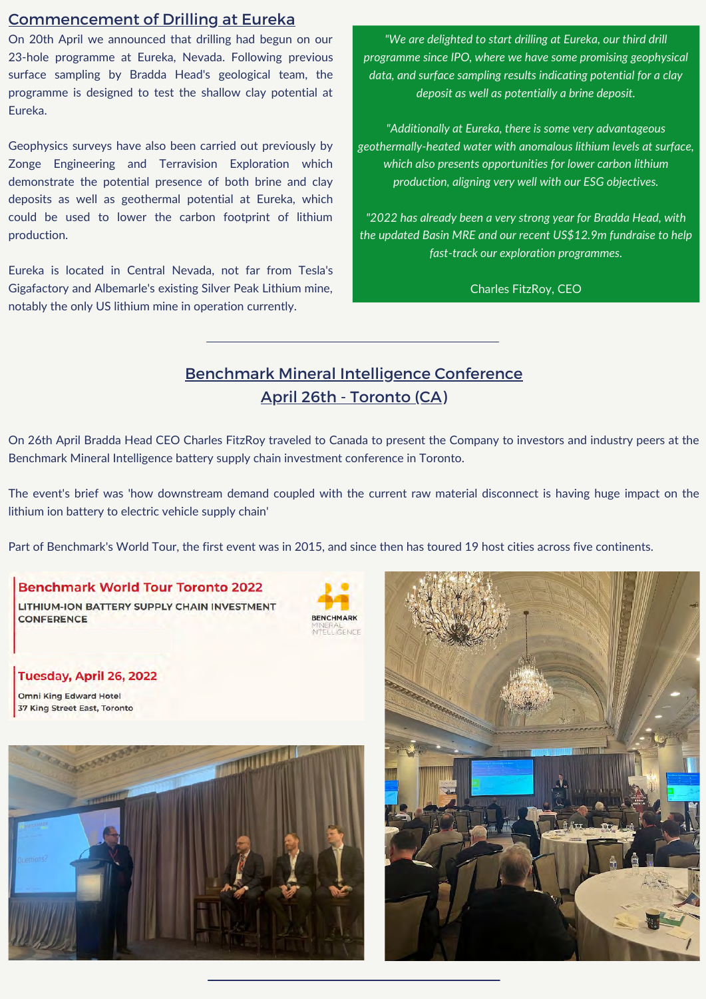#### Commencement of Drilling at Eureka

On 20th April we announced that drilling had begun on our 23-hole programme at Eureka, Nevada. Following previous surface sampling by Bradda Head's geological team, the programme is designed to test the shallow clay potential at Eureka.

Geophysics surveys have also been carried out previously by Zonge Engineering and Terravision Exploration which demonstrate the potential presence of both brine and clay deposits as well as geothermal potential at Eureka, which could be used to lower the carbon footprint of lithium production.

Eureka is located in Central Nevada, not far from Tesla's Gigafactory and Albemarle's existing Silver Peak Lithium mine, notably the only US lithium mine in operation currently.

*"We are delighted to start drilling at Eureka, our third drill programme since IPO, where we have some promising geophysical data, and surface sampling results indicating potential for a clay deposit as well as potentially a brine deposit.*

*"Additionally at Eureka, there is some very advantageous geothermally-heated water with anomalous lithium levels at surface, which also presents opportunities for lower carbon lithium production, aligning very well with our ESG objectives.*

*"2022 has already been a very strong year for Bradda Head, with the updated Basin MRE and our recent US\$12.9m fundraise to help fast-track our exploration programmes.*

Charles FitzRoy, CEO

# Benchmark Mineral Intelligence Conference April 26th - Toronto (CA)

On 26th April Bradda Head CEO Charles FitzRoy traveled to Canada to present the Company to investors and industry peers at the Benchmark Mineral Intelligence battery supply chain investment conference in Toronto.

The event's brief was 'how downstream demand coupled with the current raw material disconnect is having huge impact on the lithium ion battery to electric vehicle supply chain'

Part of Benchmark's World Tour, the first event was in 2015, and since then has toured 19 host cities across five continents.

#### **Benchmark World Tour Toronto 2022**

LITHIUM-ION BATTERY SUPPLY CHAIN INVESTMENT **CONFERENCE** 



Tuesday, April 26, 2022 **Omni King Edward Hotel** 

**37 King Street East, Toronto**